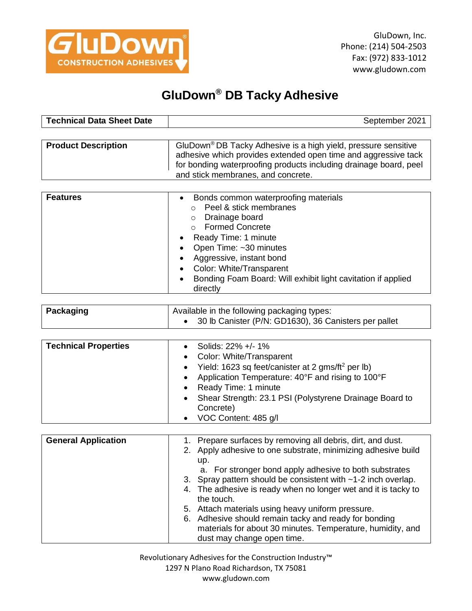

## **GluDown® DB Tacky Adhesive**

| <b>Technical Data Sheet Date</b> | September 2021 |
|----------------------------------|----------------|
|                                  |                |

| <b>Product Description</b> | GluDown <sup>®</sup> DB Tacky Adhesive is a high yield, pressure sensitive<br>adhesive which provides extended open time and aggressive tack<br>for bonding waterproofing products including drainage board, peel |
|----------------------------|-------------------------------------------------------------------------------------------------------------------------------------------------------------------------------------------------------------------|
|                            | and stick membranes, and concrete.                                                                                                                                                                                |

| <b>Features</b> | Bonds common waterproofing materials<br>$\bullet$<br>Peel & stick membranes<br>Drainage board<br>$\circ$<br><b>Formed Concrete</b><br>Ready Time: 1 minute<br>• Open Time: ~30 minutes<br>Aggressive, instant bond<br>Color: White/Transparent<br>Bonding Foam Board: Will exhibit light cavitation if applied<br>directly |
|-----------------|----------------------------------------------------------------------------------------------------------------------------------------------------------------------------------------------------------------------------------------------------------------------------------------------------------------------------|
|-----------------|----------------------------------------------------------------------------------------------------------------------------------------------------------------------------------------------------------------------------------------------------------------------------------------------------------------------------|

| Packaging | Available in the following packaging types:             |
|-----------|---------------------------------------------------------|
|           | • 30 lb Canister (P/N: GD1630), 36 Canisters per pallet |

| <b>Technical Properties</b> | Solids: 22% +/- 1%                                              |
|-----------------------------|-----------------------------------------------------------------|
|                             | • Color: White/Transparent                                      |
|                             | • Yield: 1623 sq feet/canister at 2 gms/ft <sup>2</sup> per lb) |
|                             | Application Temperature: 40°F and rising to 100°F<br>$\bullet$  |
|                             | Ready Time: 1 minute<br>٠                                       |
|                             | • Shear Strength: 23.1 PSI (Polystyrene Drainage Board to       |
|                             | Concrete)                                                       |
|                             | VOC Content: 485 g/l                                            |

| <b>General Application</b> | 1. Prepare surfaces by removing all debris, dirt, and dust.<br>2. Apply adhesive to one substrate, minimizing adhesive build<br>up. |
|----------------------------|-------------------------------------------------------------------------------------------------------------------------------------|
|                            | a. For stronger bond apply adhesive to both substrates<br>3. Spray pattern should be consistent with ~1-2 inch overlap.             |
|                            | 4. The adhesive is ready when no longer wet and it is tacky to<br>the touch.                                                        |
|                            | 5. Attach materials using heavy uniform pressure.                                                                                   |
|                            | 6. Adhesive should remain tacky and ready for bonding<br>materials for about 30 minutes. Temperature, humidity, and                 |
|                            | dust may change open time.                                                                                                          |